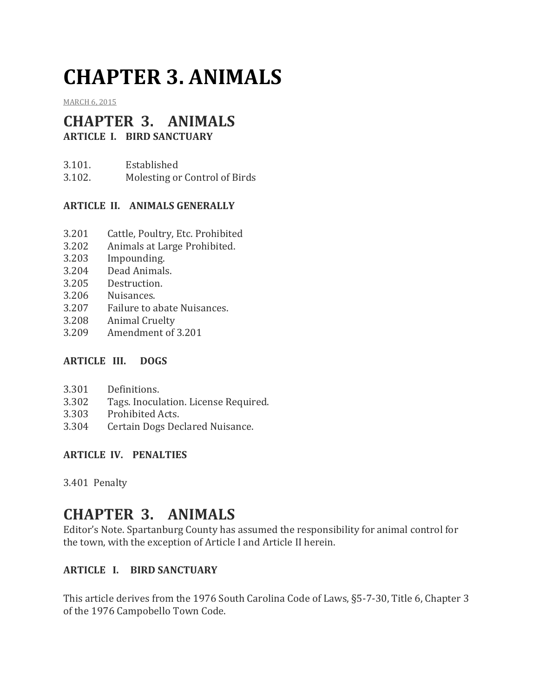# **CHAPTER 3. ANIMALS**

[MARCH](http://townofcampobello.us/chapter-3-animals/) 6, 2015

# **CHAPTER 3. ANIMALS**

**ARTICLE I. BIRD SANCTUARY**

3.101. Established 3.102. Molesting or Control of Birds

# **ARTICLE II. ANIMALS GENERALLY**

- 3.201 Cattle, Poultry, Etc. Prohibited
- 3.202 Animals at Large Prohibited.
- 3.203 Impounding.
- 3.204 Dead Animals.
- 3.205 Destruction.
- 3.206 Nuisances.
- 3.207 Failure to abate Nuisances.
- 3.208 Animal Cruelty
- 3.209 Amendment of 3.201

#### **ARTICLE III. DOGS**

- 3.301 Definitions.
- 3.302 Tags. Inoculation. License Required.
- 3.303 Prohibited Acts.
- 3.304 Certain Dogs Declared Nuisance.

#### **ARTICLE IV. PENALTIES**

3.401 Penalty

# **CHAPTER 3. ANIMALS**

Editor's Note. Spartanburg County has assumed the responsibility for animal control for the town, with the exception of Article I and Article II herein.

# **ARTICLE I. BIRD SANCTUARY**

This article derives from the 1976 South Carolina Code of Laws, §5-7-30, Title 6, Chapter 3 of the 1976 Campobello Town Code.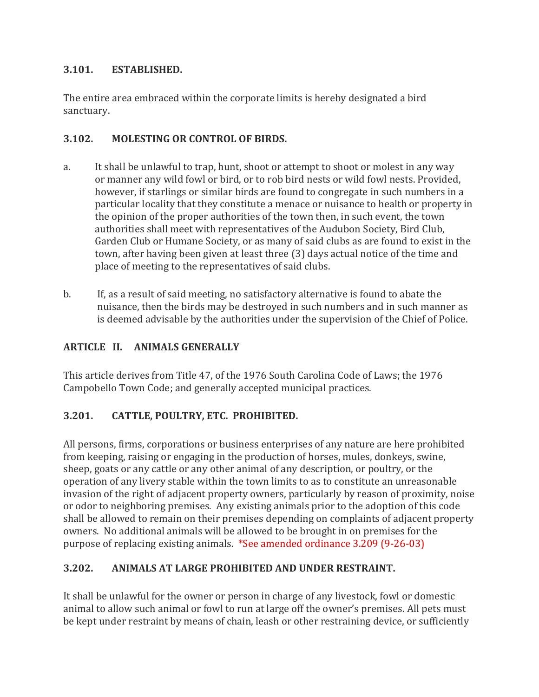# **3.101. ESTABLISHED.**

The entire area embraced within the corporate limits is hereby designated a bird sanctuary.

# **3.102. MOLESTING OR CONTROL OF BIRDS.**

- a. It shall be unlawful to trap, hunt, shoot or attempt to shoot or molest in any way or manner any wild fowl or bird, or to rob bird nests or wild fowl nests. Provided, however, if starlings or similar birds are found to congregate in such numbers in a particular locality that they constitute a menace or nuisance to health or property in the opinion of the proper authorities of the town then, in such event, the town authorities shall meet with representatives of the Audubon Society, Bird Club, Garden Club or Humane Society, or as many of said clubs as are found to exist in the town, after having been given at least three (3) days actual notice of the time and place of meeting to the representatives of said clubs.
- b. If, as a result of said meeting, no satisfactory alternative is found to abate the nuisance, then the birds may be destroyed in such numbers and in such manner as is deemed advisable by the authorities under the supervision of the Chief of Police.

# **ARTICLE II. ANIMALS GENERALLY**

This article derives from Title 47, of the 1976 South Carolina Code of Laws; the 1976 Campobello Town Code; and generally accepted municipal practices.

# **3.201. CATTLE, POULTRY, ETC. PROHIBITED.**

All persons, firms, corporations or business enterprises of any nature are here prohibited from keeping, raising or engaging in the production of horses, mules, donkeys, swine, sheep, goats or any cattle or any other animal of any description, or poultry, or the operation of any livery stable within the town limits to as to constitute an unreasonable invasion of the right of adjacent property owners, particularly by reason of proximity, noise or odor to neighboring premises. Any existing animals prior to the adoption of this code shall be allowed to remain on their premises depending on complaints of adjacent property owners. No additional animals will be allowed to be brought in on premises for the purpose of replacing existing animals. \*See amended ordinance 3.209 (9-26-03)

# **3.202. ANIMALS AT LARGE PROHIBITED AND UNDER RESTRAINT.**

It shall be unlawful for the owner or person in charge of any livestock, fowl or domestic animal to allow such animal or fowl to run at large off the owner's premises. All pets must be kept under restraint by means of chain, leash or other restraining device, or sufficiently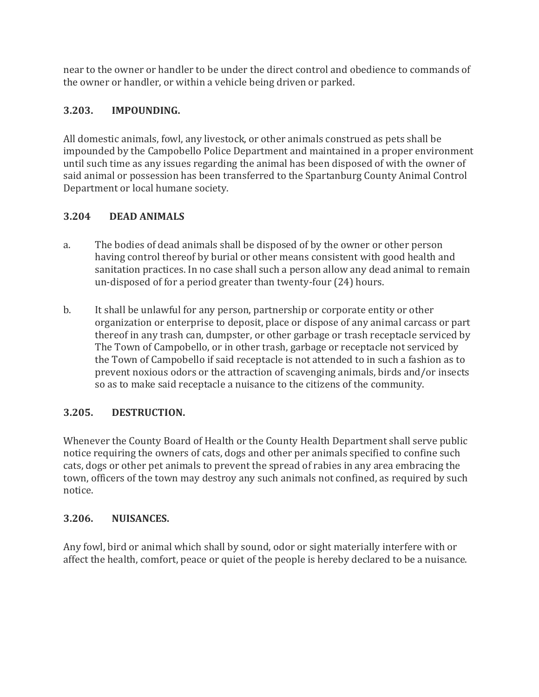near to the owner or handler to be under the direct control and obedience to commands of the owner or handler, or within a vehicle being driven or parked.

# **3.203. IMPOUNDING.**

All domestic animals, fowl, any livestock, or other animals construed as pets shall be impounded by the Campobello Police Department and maintained in a proper environment until such time as any issues regarding the animal has been disposed of with the owner of said animal or possession has been transferred to the Spartanburg County Animal Control Department or local humane society.

# **3.204 DEAD ANIMALS**

- a. The bodies of dead animals shall be disposed of by the owner or other person having control thereof by burial or other means consistent with good health and sanitation practices. In no case shall such a person allow any dead animal to remain un-disposed of for a period greater than twenty-four (24) hours.
- b. It shall be unlawful for any person, partnership or corporate entity or other organization or enterprise to deposit, place or dispose of any animal carcass or part thereof in any trash can, dumpster, or other garbage or trash receptacle serviced by The Town of Campobello, or in other trash, garbage or receptacle not serviced by the Town of Campobello if said receptacle is not attended to in such a fashion as to prevent noxious odors or the attraction of scavenging animals, birds and/or insects so as to make said receptacle a nuisance to the citizens of the community.

# **3.205. DESTRUCTION.**

Whenever the County Board of Health or the County Health Department shall serve public notice requiring the owners of cats, dogs and other per animals specified to confine such cats, dogs or other pet animals to prevent the spread of rabies in any area embracing the town, officers of the town may destroy any such animals not confined, as required by such notice.

# **3.206. NUISANCES.**

Any fowl, bird or animal which shall by sound, odor or sight materially interfere with or affect the health, comfort, peace or quiet of the people is hereby declared to be a nuisance.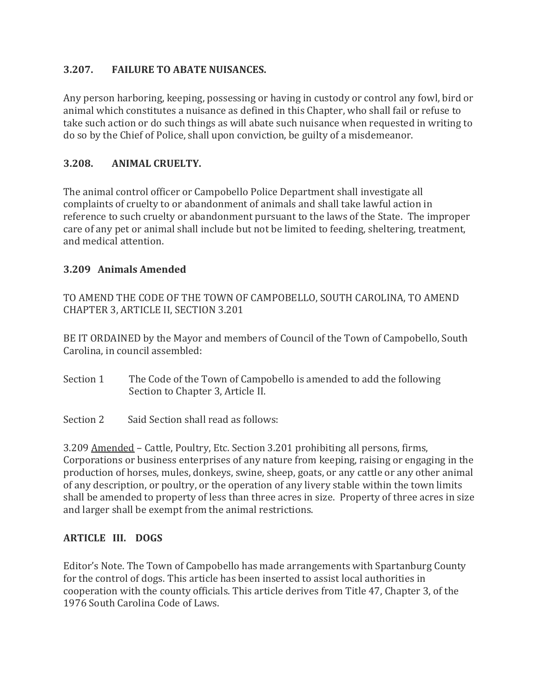## **3.207. FAILURE TO ABATE NUISANCES.**

Any person harboring, keeping, possessing or having in custody or control any fowl, bird or animal which constitutes a nuisance as defined in this Chapter, who shall fail or refuse to take such action or do such things as will abate such nuisance when requested in writing to do so by the Chief of Police, shall upon conviction, be guilty of a misdemeanor.

#### **3.208. ANIMAL CRUELTY.**

The animal control officer or Campobello Police Department shall investigate all complaints of cruelty to or abandonment of animals and shall take lawful action in reference to such cruelty or abandonment pursuant to the laws of the State. The improper care of any pet or animal shall include but not be limited to feeding, sheltering, treatment, and medical attention.

#### **3.209 Animals Amended**

TO AMEND THE CODE OF THE TOWN OF CAMPOBELLO, SOUTH CAROLINA, TO AMEND CHAPTER 3, ARTICLE II, SECTION 3.201

BE IT ORDAINED by the Mayor and members of Council of the Town of Campobello, South Carolina, in council assembled:

- Section 1 The Code of the Town of Campobello is amended to add the following Section to Chapter 3, Article II.
- Section 2 Said Section shall read as follows:

3.209 Amended – Cattle, Poultry, Etc. Section 3.201 prohibiting all persons, firms, Corporations or business enterprises of any nature from keeping, raising or engaging in the production of horses, mules, donkeys, swine, sheep, goats, or any cattle or any other animal of any description, or poultry, or the operation of any livery stable within the town limits shall be amended to property of less than three acres in size. Property of three acres in size and larger shall be exempt from the animal restrictions.

#### **ARTICLE III. DOGS**

Editor's Note. The Town of Campobello has made arrangements with Spartanburg County for the control of dogs. This article has been inserted to assist local authorities in cooperation with the county officials. This article derives from Title 47, Chapter 3, of the 1976 South Carolina Code of Laws.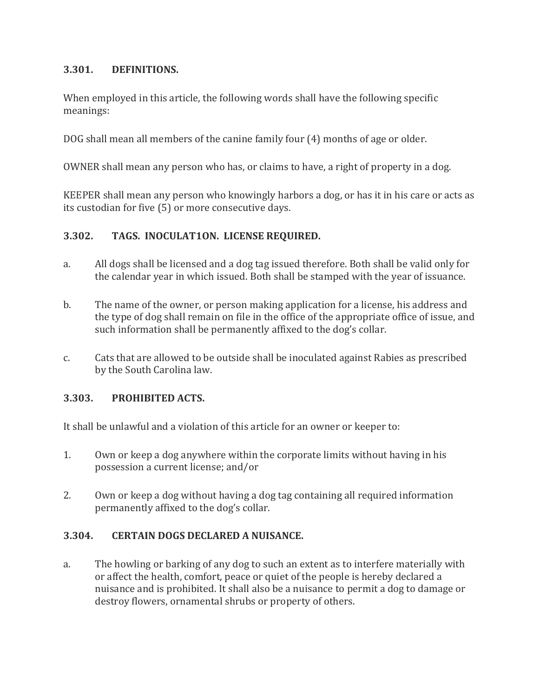#### **3.301. DEFINITIONS.**

When employed in this article, the following words shall have the following specific meanings:

DOG shall mean all members of the canine family four (4) months of age or older.

OWNER shall mean any person who has, or claims to have, a right of property in a dog.

KEEPER shall mean any person who knowingly harbors a dog, or has it in his care or acts as its custodian for five (5) or more consecutive days.

#### **3.302. TAGS. INOCULAT1ON. LICENSE REQUIRED.**

- a. All dogs shall be licensed and a dog tag issued therefore. Both shall be valid only for the calendar year in which issued. Both shall be stamped with the year of issuance.
- b. The name of the owner, or person making application for a license, his address and the type of dog shall remain on file in the office of the appropriate office of issue, and such information shall be permanently affixed to the dog's collar.
- c. Cats that are allowed to be outside shall be inoculated against Rabies as prescribed by the South Carolina law.

#### **3.303. PROHIBITED ACTS.**

It shall be unlawful and a violation of this article for an owner or keeper to:

- 1. Own or keep a dog anywhere within the corporate limits without having in his possession a current license; and/or
- 2. Own or keep a dog without having a dog tag containing all required information permanently affixed to the dog's collar.

#### **3.304. CERTAIN DOGS DECLARED A NUISANCE.**

a. The howling or barking of any dog to such an extent as to interfere materially with or affect the health, comfort, peace or quiet of the people is hereby declared a nuisance and is prohibited. It shall also be a nuisance to permit a dog to damage or destroy flowers, ornamental shrubs or property of others.